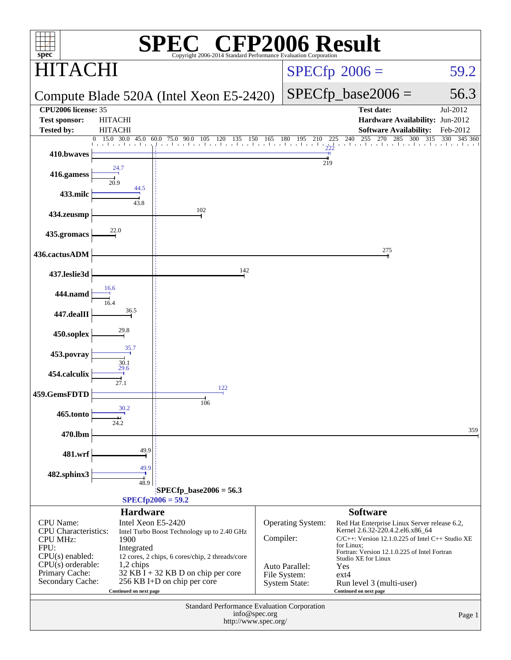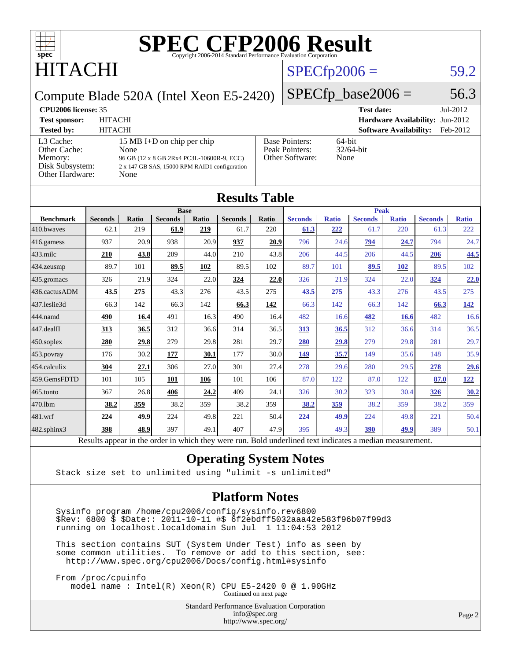

### TACHI

### $SPECfp2006 = 59.2$  $SPECfp2006 = 59.2$

Compute Blade 520A (Intel Xeon E5-2420)

 $SPECTp\_base2006 = 56.3$ 

| <b>CPU2006 license: 35</b>                    |                                                                                                    |                                         | <b>Test date:</b><br>$Jul-2012$           |
|-----------------------------------------------|----------------------------------------------------------------------------------------------------|-----------------------------------------|-------------------------------------------|
| <b>Test sponsor:</b>                          | <b>HITACHI</b>                                                                                     |                                         | <b>Hardware Availability: Jun-2012</b>    |
| <b>Tested by:</b>                             | <b>HITACHI</b>                                                                                     |                                         | <b>Software Availability:</b><br>Feb-2012 |
| L3 Cache:<br>Other Cache:                     | 15 MB I+D on chip per chip<br>None                                                                 | <b>Base Pointers:</b><br>Peak Pointers: | $64$ -bit<br>$32/64$ -bit                 |
| Memory:<br>Disk Subsystem:<br>Other Hardware: | 96 GB (12 x 8 GB 2Rx4 PC3L-10600R-9, ECC)<br>2 x 147 GB SAS, 15000 RPM RAID1 configuration<br>None | Other Software:                         | None                                      |

**[Results Table](http://www.spec.org/auto/cpu2006/Docs/result-fields.html#ResultsTable)**

|                  |                                                                                                          |       |                |       | IWUULW LUVIV   |             |                |              |                |              |                |              |
|------------------|----------------------------------------------------------------------------------------------------------|-------|----------------|-------|----------------|-------------|----------------|--------------|----------------|--------------|----------------|--------------|
|                  | <b>Base</b>                                                                                              |       |                |       |                | <b>Peak</b> |                |              |                |              |                |              |
| <b>Benchmark</b> | <b>Seconds</b>                                                                                           | Ratio | <b>Seconds</b> | Ratio | <b>Seconds</b> | Ratio       | <b>Seconds</b> | <b>Ratio</b> | <b>Seconds</b> | <b>Ratio</b> | <b>Seconds</b> | <b>Ratio</b> |
| 410.bwayes       | 62.1                                                                                                     | 219   | 61.9           | 219   | 61.7           | 220         | 61.3           | 222          | 61.7           | 220          | 61.3           | 222          |
| 416.gamess       | 937                                                                                                      | 20.9  | 938            | 20.9  | 937            | 20.9        | 796            | 24.6         | 794            | 24.7         | 794            | 24.7         |
| $433$ .milc      | 210                                                                                                      | 43.8  | 209            | 44.0  | 210            | 43.8        | 206            | 44.5         | 206            | 44.5         | 206            | 44.5         |
| $434$ . zeusmp   | 89.7                                                                                                     | 101   | 89.5           | 102   | 89.5           | 102         | 89.7           | 101          | 89.5           | <b>102</b>   | 89.5           | 102          |
| $435.$ gromacs   | 326                                                                                                      | 21.9  | 324            | 22.0  | 324            | 22.0        | 326            | 21.9         | 324            | 22.0         | 324            | 22.0         |
| 436.cactusADM    | 43.5                                                                                                     | 275   | 43.3           | 276   | 43.5           | 275         | 43.5           | 275          | 43.3           | 276          | 43.5           | 275          |
| 437.leslie3d     | 66.3                                                                                                     | 142   | 66.3           | 142   | 66.3           | 142         | 66.3           | 142          | 66.3           | 142          | 66.3           | <u>142</u>   |
| 444.namd         | 490                                                                                                      | 16.4  | 491            | 16.3  | 490            | 16.4        | 482            | 16.6         | 482            | 16.6         | 482            | 16.6         |
| 447.dealII       | 313                                                                                                      | 36.5  | 312            | 36.6  | 314            | 36.5        | 313            | 36.5         | 312            | 36.6         | 314            | 36.5         |
| $ 450$ .soplex   | 280                                                                                                      | 29.8  | 279            | 29.8  | 281            | 29.7        | 280            | 29.8         | 279            | 29.8         | 281            | 29.7         |
| $453$ .povray    | 176                                                                                                      | 30.2  | 177            | 30.1  | 177            | 30.0        | 149            | 35.7         | 149            | 35.6         | 148            | 35.9         |
| $ 454$ .calculix | 304                                                                                                      | 27.1  | 306            | 27.0  | 301            | 27.4        | 278            | 29.6         | 280            | 29.5         | 278            | 29.6         |
| 459.GemsFDTD     | 101                                                                                                      | 105   | 101            | 106   | 101            | 106         | 87.0           | 122          | 87.0           | 122          | 87.0           | 122          |
| $465$ .tonto     | 367                                                                                                      | 26.8  | 406            | 24.2  | 409            | 24.1        | 326            | 30.2         | 323            | 30.4         | 326            | 30.2         |
| 470.1bm          | 38.2                                                                                                     | 359   | 38.2           | 359   | 38.2           | 359         | 38.2           | 359          | 38.2           | 359          | 38.2           | 359          |
| $ 481$ .wrf      | 224                                                                                                      | 49.9  | 224            | 49.8  | 221            | 50.4        | 224            | 49.9         | 224            | 49.8         | 221            | 50.4         |
| 482.sphinx3      | 398                                                                                                      | 48.9  | 397            | 49.1  | 407            | 47.9        | 395            | 49.3         | 390            | 49.9         | 389            | 50.1         |
|                  | Results appear in the order in which they were run. Bold underlined text indicates a median measurement. |       |                |       |                |             |                |              |                |              |                |              |

#### **[Operating System Notes](http://www.spec.org/auto/cpu2006/Docs/result-fields.html#OperatingSystemNotes)**

Stack size set to unlimited using "ulimit -s unlimited"

#### **[Platform Notes](http://www.spec.org/auto/cpu2006/Docs/result-fields.html#PlatformNotes)**

 Sysinfo program /home/cpu2006/config/sysinfo.rev6800 \$Rev: 6800 \$ \$Date:: 2011-10-11 #\$ 6f2ebdff5032aaa42e583f96b07f99d3 running on localhost.localdomain Sun Jul 1 11:04:53 2012

 This section contains SUT (System Under Test) info as seen by some common utilities. To remove or add to this section, see: <http://www.spec.org/cpu2006/Docs/config.html#sysinfo>

 From /proc/cpuinfo model name : Intel(R) Xeon(R) CPU E5-2420 0 @ 1.90GHz Continued on next page

> Standard Performance Evaluation Corporation [info@spec.org](mailto:info@spec.org) <http://www.spec.org/>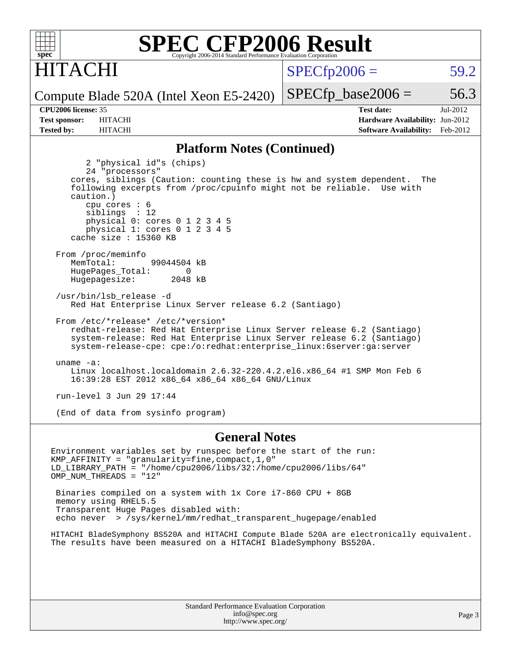

### ITACHI

 $SPECTp2006 = 59.2$ 

Compute Blade 520A (Intel Xeon E5-2420)

**[CPU2006 license:](http://www.spec.org/auto/cpu2006/Docs/result-fields.html#CPU2006license)** 35 **[Test date:](http://www.spec.org/auto/cpu2006/Docs/result-fields.html#Testdate)** Jul-2012 **[Test sponsor:](http://www.spec.org/auto/cpu2006/Docs/result-fields.html#Testsponsor)** HITACHI **[Hardware Availability:](http://www.spec.org/auto/cpu2006/Docs/result-fields.html#HardwareAvailability)** Jun-2012 **[Tested by:](http://www.spec.org/auto/cpu2006/Docs/result-fields.html#Testedby)** HITACHI **[Software Availability:](http://www.spec.org/auto/cpu2006/Docs/result-fields.html#SoftwareAvailability)** Feb-2012

 $SPECTp\_base2006 = 56.3$ 

#### **[Platform Notes \(Continued\)](http://www.spec.org/auto/cpu2006/Docs/result-fields.html#PlatformNotes)**

 2 "physical id"s (chips) 24 "processors" cores, siblings (Caution: counting these is hw and system dependent. The following excerpts from /proc/cpuinfo might not be reliable. Use with caution.) cpu cores : 6 siblings : 12 physical 0: cores 0 1 2 3 4 5 physical 1: cores 0 1 2 3 4 5 cache size : 15360 KB From /proc/meminfo MemTotal: 99044504 kB HugePages\_Total: 0<br>Hugepagesize: 2048 kB Hugepagesize: /usr/bin/lsb\_release -d Red Hat Enterprise Linux Server release 6.2 (Santiago) From /etc/\*release\* /etc/\*version\* redhat-release: Red Hat Enterprise Linux Server release 6.2 (Santiago) system-release: Red Hat Enterprise Linux Server release 6.2 (Santiago) system-release-cpe: cpe:/o:redhat:enterprise\_linux:6server:ga:server uname -a: Linux localhost.localdomain 2.6.32-220.4.2.el6.x86\_64 #1 SMP Mon Feb 6 16:39:28 EST 2012 x86\_64 x86\_64 x86\_64 GNU/Linux run-level 3 Jun 29 17:44

(End of data from sysinfo program)

#### **[General Notes](http://www.spec.org/auto/cpu2006/Docs/result-fields.html#GeneralNotes)**

Environment variables set by runspec before the start of the run: KMP\_AFFINITY = "granularity=fine,compact,1,0" LD\_LIBRARY\_PATH = "/home/cpu2006/libs/32:/home/cpu2006/libs/64" OMP\_NUM\_THREADS = "12"

 Binaries compiled on a system with 1x Core i7-860 CPU + 8GB memory using RHEL5.5 Transparent Huge Pages disabled with: echo never > /sys/kernel/mm/redhat\_transparent\_hugepage/enabled

HITACHI BladeSymphony BS520A and HITACHI Compute Blade 520A are electronically equivalent. The results have been measured on a HITACHI BladeSymphony BS520A.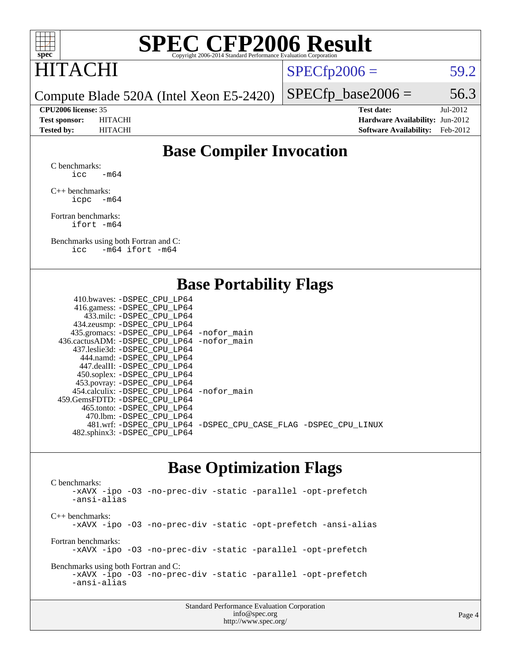

### HITACHI

 $SPECTp2006 = 59.2$ 

Compute Blade 520A (Intel Xeon E5-2420)

 $SPECTp\_base2006 = 56.3$ 

**[CPU2006 license:](http://www.spec.org/auto/cpu2006/Docs/result-fields.html#CPU2006license)** 35 **[Test date:](http://www.spec.org/auto/cpu2006/Docs/result-fields.html#Testdate)** Jul-2012 **[Test sponsor:](http://www.spec.org/auto/cpu2006/Docs/result-fields.html#Testsponsor)** HITACHI **[Hardware Availability:](http://www.spec.org/auto/cpu2006/Docs/result-fields.html#HardwareAvailability)** Jun-2012 **[Tested by:](http://www.spec.org/auto/cpu2006/Docs/result-fields.html#Testedby)** HITACHI **[Software Availability:](http://www.spec.org/auto/cpu2006/Docs/result-fields.html#SoftwareAvailability)** Feb-2012

#### **[Base Compiler Invocation](http://www.spec.org/auto/cpu2006/Docs/result-fields.html#BaseCompilerInvocation)**

[C benchmarks](http://www.spec.org/auto/cpu2006/Docs/result-fields.html#Cbenchmarks):  $\text{icc}$  -m64

[C++ benchmarks:](http://www.spec.org/auto/cpu2006/Docs/result-fields.html#CXXbenchmarks) [icpc -m64](http://www.spec.org/cpu2006/results/res2012q3/cpu2006-20120703-23515.flags.html#user_CXXbase_intel_icpc_64bit_bedb90c1146cab66620883ef4f41a67e)

[Fortran benchmarks](http://www.spec.org/auto/cpu2006/Docs/result-fields.html#Fortranbenchmarks): [ifort -m64](http://www.spec.org/cpu2006/results/res2012q3/cpu2006-20120703-23515.flags.html#user_FCbase_intel_ifort_64bit_ee9d0fb25645d0210d97eb0527dcc06e)

[Benchmarks using both Fortran and C](http://www.spec.org/auto/cpu2006/Docs/result-fields.html#BenchmarksusingbothFortranandC): [icc -m64](http://www.spec.org/cpu2006/results/res2012q3/cpu2006-20120703-23515.flags.html#user_CC_FCbase_intel_icc_64bit_0b7121f5ab7cfabee23d88897260401c) [ifort -m64](http://www.spec.org/cpu2006/results/res2012q3/cpu2006-20120703-23515.flags.html#user_CC_FCbase_intel_ifort_64bit_ee9d0fb25645d0210d97eb0527dcc06e)

#### **[Base Portability Flags](http://www.spec.org/auto/cpu2006/Docs/result-fields.html#BasePortabilityFlags)**

| 410.bwaves: -DSPEC CPU LP64                 |                                                                |
|---------------------------------------------|----------------------------------------------------------------|
| 416.gamess: - DSPEC_CPU_LP64                |                                                                |
| 433.milc: -DSPEC CPU LP64                   |                                                                |
| 434.zeusmp: -DSPEC_CPU_LP64                 |                                                                |
| 435.gromacs: -DSPEC_CPU_LP64 -nofor_main    |                                                                |
| 436.cactusADM: -DSPEC CPU LP64 -nofor main  |                                                                |
| 437.leslie3d: -DSPEC CPU LP64               |                                                                |
| 444.namd: - DSPEC CPU LP64                  |                                                                |
| 447.dealII: -DSPEC CPU LP64                 |                                                                |
| 450.soplex: -DSPEC_CPU_LP64                 |                                                                |
| 453.povray: -DSPEC_CPU_LP64                 |                                                                |
| 454.calculix: - DSPEC CPU LP64 - nofor main |                                                                |
| 459.GemsFDTD: -DSPEC CPU LP64               |                                                                |
| 465.tonto: - DSPEC_CPU LP64                 |                                                                |
| 470.1bm: - DSPEC CPU LP64                   |                                                                |
|                                             | 481.wrf: -DSPEC_CPU_LP64 -DSPEC_CPU_CASE_FLAG -DSPEC_CPU_LINUX |
| 482.sphinx3: -DSPEC_CPU_LP64                |                                                                |
|                                             |                                                                |

#### **[Base Optimization Flags](http://www.spec.org/auto/cpu2006/Docs/result-fields.html#BaseOptimizationFlags)**

[C benchmarks](http://www.spec.org/auto/cpu2006/Docs/result-fields.html#Cbenchmarks): [-xAVX](http://www.spec.org/cpu2006/results/res2012q3/cpu2006-20120703-23515.flags.html#user_CCbase_f-xAVX) [-ipo](http://www.spec.org/cpu2006/results/res2012q3/cpu2006-20120703-23515.flags.html#user_CCbase_f-ipo) [-O3](http://www.spec.org/cpu2006/results/res2012q3/cpu2006-20120703-23515.flags.html#user_CCbase_f-O3) [-no-prec-div](http://www.spec.org/cpu2006/results/res2012q3/cpu2006-20120703-23515.flags.html#user_CCbase_f-no-prec-div) [-static](http://www.spec.org/cpu2006/results/res2012q3/cpu2006-20120703-23515.flags.html#user_CCbase_f-static) [-parallel](http://www.spec.org/cpu2006/results/res2012q3/cpu2006-20120703-23515.flags.html#user_CCbase_f-parallel) [-opt-prefetch](http://www.spec.org/cpu2006/results/res2012q3/cpu2006-20120703-23515.flags.html#user_CCbase_f-opt-prefetch) [-ansi-alias](http://www.spec.org/cpu2006/results/res2012q3/cpu2006-20120703-23515.flags.html#user_CCbase_f-ansi-alias) [C++ benchmarks:](http://www.spec.org/auto/cpu2006/Docs/result-fields.html#CXXbenchmarks) [-xAVX](http://www.spec.org/cpu2006/results/res2012q3/cpu2006-20120703-23515.flags.html#user_CXXbase_f-xAVX) [-ipo](http://www.spec.org/cpu2006/results/res2012q3/cpu2006-20120703-23515.flags.html#user_CXXbase_f-ipo) [-O3](http://www.spec.org/cpu2006/results/res2012q3/cpu2006-20120703-23515.flags.html#user_CXXbase_f-O3) [-no-prec-div](http://www.spec.org/cpu2006/results/res2012q3/cpu2006-20120703-23515.flags.html#user_CXXbase_f-no-prec-div) [-static](http://www.spec.org/cpu2006/results/res2012q3/cpu2006-20120703-23515.flags.html#user_CXXbase_f-static) [-opt-prefetch](http://www.spec.org/cpu2006/results/res2012q3/cpu2006-20120703-23515.flags.html#user_CXXbase_f-opt-prefetch) [-ansi-alias](http://www.spec.org/cpu2006/results/res2012q3/cpu2006-20120703-23515.flags.html#user_CXXbase_f-ansi-alias) [Fortran benchmarks](http://www.spec.org/auto/cpu2006/Docs/result-fields.html#Fortranbenchmarks): [-xAVX](http://www.spec.org/cpu2006/results/res2012q3/cpu2006-20120703-23515.flags.html#user_FCbase_f-xAVX) [-ipo](http://www.spec.org/cpu2006/results/res2012q3/cpu2006-20120703-23515.flags.html#user_FCbase_f-ipo) [-O3](http://www.spec.org/cpu2006/results/res2012q3/cpu2006-20120703-23515.flags.html#user_FCbase_f-O3) [-no-prec-div](http://www.spec.org/cpu2006/results/res2012q3/cpu2006-20120703-23515.flags.html#user_FCbase_f-no-prec-div) [-static](http://www.spec.org/cpu2006/results/res2012q3/cpu2006-20120703-23515.flags.html#user_FCbase_f-static) [-parallel](http://www.spec.org/cpu2006/results/res2012q3/cpu2006-20120703-23515.flags.html#user_FCbase_f-parallel) [-opt-prefetch](http://www.spec.org/cpu2006/results/res2012q3/cpu2006-20120703-23515.flags.html#user_FCbase_f-opt-prefetch) [Benchmarks using both Fortran and C](http://www.spec.org/auto/cpu2006/Docs/result-fields.html#BenchmarksusingbothFortranandC): [-xAVX](http://www.spec.org/cpu2006/results/res2012q3/cpu2006-20120703-23515.flags.html#user_CC_FCbase_f-xAVX) [-ipo](http://www.spec.org/cpu2006/results/res2012q3/cpu2006-20120703-23515.flags.html#user_CC_FCbase_f-ipo) [-O3](http://www.spec.org/cpu2006/results/res2012q3/cpu2006-20120703-23515.flags.html#user_CC_FCbase_f-O3) [-no-prec-div](http://www.spec.org/cpu2006/results/res2012q3/cpu2006-20120703-23515.flags.html#user_CC_FCbase_f-no-prec-div) [-static](http://www.spec.org/cpu2006/results/res2012q3/cpu2006-20120703-23515.flags.html#user_CC_FCbase_f-static) [-parallel](http://www.spec.org/cpu2006/results/res2012q3/cpu2006-20120703-23515.flags.html#user_CC_FCbase_f-parallel) [-opt-prefetch](http://www.spec.org/cpu2006/results/res2012q3/cpu2006-20120703-23515.flags.html#user_CC_FCbase_f-opt-prefetch) [-ansi-alias](http://www.spec.org/cpu2006/results/res2012q3/cpu2006-20120703-23515.flags.html#user_CC_FCbase_f-ansi-alias)

| <b>Standard Performance Evaluation Corporation</b> |
|----------------------------------------------------|
| info@spec.org                                      |
| http://www.spec.org/                               |

#### Page 4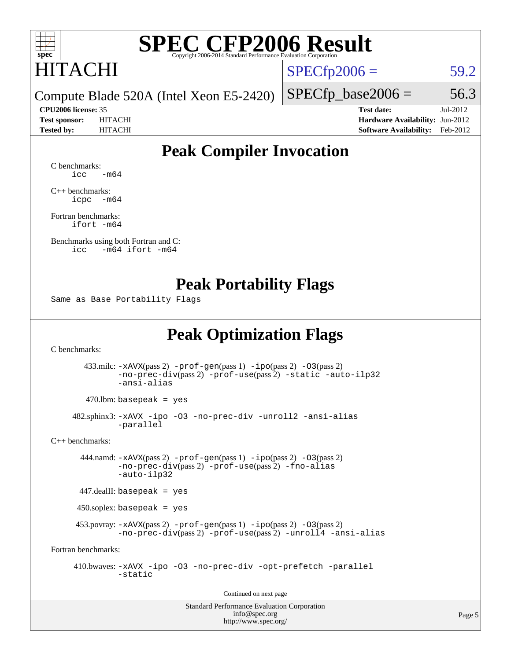

### HITACHI

 $SPECTp2006 = 59.2$ 

Compute Blade 520A (Intel Xeon E5-2420)

 $SPECTp\_base2006 = 56.3$ 

**[CPU2006 license:](http://www.spec.org/auto/cpu2006/Docs/result-fields.html#CPU2006license)** 35 **[Test date:](http://www.spec.org/auto/cpu2006/Docs/result-fields.html#Testdate)** Jul-2012 **[Test sponsor:](http://www.spec.org/auto/cpu2006/Docs/result-fields.html#Testsponsor)** HITACHI **[Hardware Availability:](http://www.spec.org/auto/cpu2006/Docs/result-fields.html#HardwareAvailability)** Jun-2012 **[Tested by:](http://www.spec.org/auto/cpu2006/Docs/result-fields.html#Testedby)** HITACHI **[Software Availability:](http://www.spec.org/auto/cpu2006/Docs/result-fields.html#SoftwareAvailability)** Feb-2012

#### **[Peak Compiler Invocation](http://www.spec.org/auto/cpu2006/Docs/result-fields.html#PeakCompilerInvocation)**

[C benchmarks](http://www.spec.org/auto/cpu2006/Docs/result-fields.html#Cbenchmarks):  $\text{icc}$   $-\text{m64}$ 

[C++ benchmarks:](http://www.spec.org/auto/cpu2006/Docs/result-fields.html#CXXbenchmarks) [icpc -m64](http://www.spec.org/cpu2006/results/res2012q3/cpu2006-20120703-23515.flags.html#user_CXXpeak_intel_icpc_64bit_bedb90c1146cab66620883ef4f41a67e)

[Fortran benchmarks](http://www.spec.org/auto/cpu2006/Docs/result-fields.html#Fortranbenchmarks): [ifort -m64](http://www.spec.org/cpu2006/results/res2012q3/cpu2006-20120703-23515.flags.html#user_FCpeak_intel_ifort_64bit_ee9d0fb25645d0210d97eb0527dcc06e)

[Benchmarks using both Fortran and C](http://www.spec.org/auto/cpu2006/Docs/result-fields.html#BenchmarksusingbothFortranandC): [icc -m64](http://www.spec.org/cpu2006/results/res2012q3/cpu2006-20120703-23515.flags.html#user_CC_FCpeak_intel_icc_64bit_0b7121f5ab7cfabee23d88897260401c) [ifort -m64](http://www.spec.org/cpu2006/results/res2012q3/cpu2006-20120703-23515.flags.html#user_CC_FCpeak_intel_ifort_64bit_ee9d0fb25645d0210d97eb0527dcc06e)

#### **[Peak Portability Flags](http://www.spec.org/auto/cpu2006/Docs/result-fields.html#PeakPortabilityFlags)**

Same as Base Portability Flags

#### **[Peak Optimization Flags](http://www.spec.org/auto/cpu2006/Docs/result-fields.html#PeakOptimizationFlags)**

[C benchmarks](http://www.spec.org/auto/cpu2006/Docs/result-fields.html#Cbenchmarks):

 433.milc: [-xAVX](http://www.spec.org/cpu2006/results/res2012q3/cpu2006-20120703-23515.flags.html#user_peakPASS2_CFLAGSPASS2_LDFLAGS433_milc_f-xAVX)(pass 2) [-prof-gen](http://www.spec.org/cpu2006/results/res2012q3/cpu2006-20120703-23515.flags.html#user_peakPASS1_CFLAGSPASS1_LDFLAGS433_milc_prof_gen_e43856698f6ca7b7e442dfd80e94a8fc)(pass 1) [-ipo](http://www.spec.org/cpu2006/results/res2012q3/cpu2006-20120703-23515.flags.html#user_peakPASS2_CFLAGSPASS2_LDFLAGS433_milc_f-ipo)(pass 2) [-O3](http://www.spec.org/cpu2006/results/res2012q3/cpu2006-20120703-23515.flags.html#user_peakPASS2_CFLAGSPASS2_LDFLAGS433_milc_f-O3)(pass 2) [-no-prec-div](http://www.spec.org/cpu2006/results/res2012q3/cpu2006-20120703-23515.flags.html#user_peakPASS2_CFLAGSPASS2_LDFLAGS433_milc_f-no-prec-div)(pass 2) [-prof-use](http://www.spec.org/cpu2006/results/res2012q3/cpu2006-20120703-23515.flags.html#user_peakPASS2_CFLAGSPASS2_LDFLAGS433_milc_prof_use_bccf7792157ff70d64e32fe3e1250b55)(pass 2) [-static](http://www.spec.org/cpu2006/results/res2012q3/cpu2006-20120703-23515.flags.html#user_peakOPTIMIZE433_milc_f-static) [-auto-ilp32](http://www.spec.org/cpu2006/results/res2012q3/cpu2006-20120703-23515.flags.html#user_peakCOPTIMIZE433_milc_f-auto-ilp32) [-ansi-alias](http://www.spec.org/cpu2006/results/res2012q3/cpu2006-20120703-23515.flags.html#user_peakCOPTIMIZE433_milc_f-ansi-alias)

 $470.$ lbm: basepeak = yes

 482.sphinx3: [-xAVX](http://www.spec.org/cpu2006/results/res2012q3/cpu2006-20120703-23515.flags.html#user_peakOPTIMIZE482_sphinx3_f-xAVX) [-ipo](http://www.spec.org/cpu2006/results/res2012q3/cpu2006-20120703-23515.flags.html#user_peakOPTIMIZE482_sphinx3_f-ipo) [-O3](http://www.spec.org/cpu2006/results/res2012q3/cpu2006-20120703-23515.flags.html#user_peakOPTIMIZE482_sphinx3_f-O3) [-no-prec-div](http://www.spec.org/cpu2006/results/res2012q3/cpu2006-20120703-23515.flags.html#user_peakOPTIMIZE482_sphinx3_f-no-prec-div) [-unroll2](http://www.spec.org/cpu2006/results/res2012q3/cpu2006-20120703-23515.flags.html#user_peakCOPTIMIZE482_sphinx3_f-unroll_784dae83bebfb236979b41d2422d7ec2) [-ansi-alias](http://www.spec.org/cpu2006/results/res2012q3/cpu2006-20120703-23515.flags.html#user_peakCOPTIMIZE482_sphinx3_f-ansi-alias) [-parallel](http://www.spec.org/cpu2006/results/res2012q3/cpu2006-20120703-23515.flags.html#user_peakCOPTIMIZE482_sphinx3_f-parallel)

[C++ benchmarks:](http://www.spec.org/auto/cpu2006/Docs/result-fields.html#CXXbenchmarks)

 444.namd: [-xAVX](http://www.spec.org/cpu2006/results/res2012q3/cpu2006-20120703-23515.flags.html#user_peakPASS2_CXXFLAGSPASS2_LDFLAGS444_namd_f-xAVX)(pass 2) [-prof-gen](http://www.spec.org/cpu2006/results/res2012q3/cpu2006-20120703-23515.flags.html#user_peakPASS1_CXXFLAGSPASS1_LDFLAGS444_namd_prof_gen_e43856698f6ca7b7e442dfd80e94a8fc)(pass 1) [-ipo](http://www.spec.org/cpu2006/results/res2012q3/cpu2006-20120703-23515.flags.html#user_peakPASS2_CXXFLAGSPASS2_LDFLAGS444_namd_f-ipo)(pass 2) [-O3](http://www.spec.org/cpu2006/results/res2012q3/cpu2006-20120703-23515.flags.html#user_peakPASS2_CXXFLAGSPASS2_LDFLAGS444_namd_f-O3)(pass 2) [-no-prec-div](http://www.spec.org/cpu2006/results/res2012q3/cpu2006-20120703-23515.flags.html#user_peakPASS2_CXXFLAGSPASS2_LDFLAGS444_namd_f-no-prec-div)(pass 2) [-prof-use](http://www.spec.org/cpu2006/results/res2012q3/cpu2006-20120703-23515.flags.html#user_peakPASS2_CXXFLAGSPASS2_LDFLAGS444_namd_prof_use_bccf7792157ff70d64e32fe3e1250b55)(pass 2) [-fno-alias](http://www.spec.org/cpu2006/results/res2012q3/cpu2006-20120703-23515.flags.html#user_peakCXXOPTIMIZEOPTIMIZE444_namd_f-no-alias_694e77f6c5a51e658e82ccff53a9e63a) [-auto-ilp32](http://www.spec.org/cpu2006/results/res2012q3/cpu2006-20120703-23515.flags.html#user_peakCXXOPTIMIZE444_namd_f-auto-ilp32)

447.dealII: basepeak = yes

450.soplex: basepeak = yes

 453.povray: [-xAVX](http://www.spec.org/cpu2006/results/res2012q3/cpu2006-20120703-23515.flags.html#user_peakPASS2_CXXFLAGSPASS2_LDFLAGS453_povray_f-xAVX)(pass 2) [-prof-gen](http://www.spec.org/cpu2006/results/res2012q3/cpu2006-20120703-23515.flags.html#user_peakPASS1_CXXFLAGSPASS1_LDFLAGS453_povray_prof_gen_e43856698f6ca7b7e442dfd80e94a8fc)(pass 1) [-ipo](http://www.spec.org/cpu2006/results/res2012q3/cpu2006-20120703-23515.flags.html#user_peakPASS2_CXXFLAGSPASS2_LDFLAGS453_povray_f-ipo)(pass 2) [-O3](http://www.spec.org/cpu2006/results/res2012q3/cpu2006-20120703-23515.flags.html#user_peakPASS2_CXXFLAGSPASS2_LDFLAGS453_povray_f-O3)(pass 2) [-no-prec-div](http://www.spec.org/cpu2006/results/res2012q3/cpu2006-20120703-23515.flags.html#user_peakPASS2_CXXFLAGSPASS2_LDFLAGS453_povray_f-no-prec-div)(pass 2) [-prof-use](http://www.spec.org/cpu2006/results/res2012q3/cpu2006-20120703-23515.flags.html#user_peakPASS2_CXXFLAGSPASS2_LDFLAGS453_povray_prof_use_bccf7792157ff70d64e32fe3e1250b55)(pass 2) [-unroll4](http://www.spec.org/cpu2006/results/res2012q3/cpu2006-20120703-23515.flags.html#user_peakCXXOPTIMIZE453_povray_f-unroll_4e5e4ed65b7fd20bdcd365bec371b81f) [-ansi-alias](http://www.spec.org/cpu2006/results/res2012q3/cpu2006-20120703-23515.flags.html#user_peakCXXOPTIMIZE453_povray_f-ansi-alias)

[Fortran benchmarks](http://www.spec.org/auto/cpu2006/Docs/result-fields.html#Fortranbenchmarks):

 410.bwaves: [-xAVX](http://www.spec.org/cpu2006/results/res2012q3/cpu2006-20120703-23515.flags.html#user_peakOPTIMIZE410_bwaves_f-xAVX) [-ipo](http://www.spec.org/cpu2006/results/res2012q3/cpu2006-20120703-23515.flags.html#user_peakOPTIMIZE410_bwaves_f-ipo) [-O3](http://www.spec.org/cpu2006/results/res2012q3/cpu2006-20120703-23515.flags.html#user_peakOPTIMIZE410_bwaves_f-O3) [-no-prec-div](http://www.spec.org/cpu2006/results/res2012q3/cpu2006-20120703-23515.flags.html#user_peakOPTIMIZE410_bwaves_f-no-prec-div) [-opt-prefetch](http://www.spec.org/cpu2006/results/res2012q3/cpu2006-20120703-23515.flags.html#user_peakOPTIMIZE410_bwaves_f-opt-prefetch) [-parallel](http://www.spec.org/cpu2006/results/res2012q3/cpu2006-20120703-23515.flags.html#user_peakOPTIMIZE410_bwaves_f-parallel) [-static](http://www.spec.org/cpu2006/results/res2012q3/cpu2006-20120703-23515.flags.html#user_peakOPTIMIZE410_bwaves_f-static)

Continued on next page

Standard Performance Evaluation Corporation [info@spec.org](mailto:info@spec.org) <http://www.spec.org/>